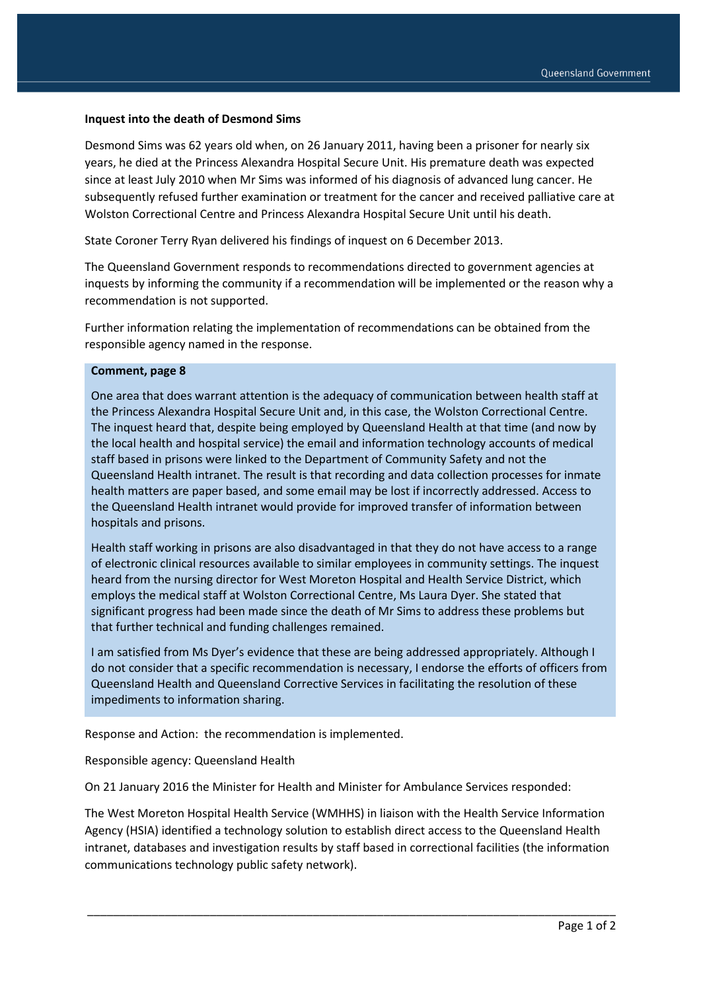## **Inquest into the death of Desmond Sims**

Desmond Sims was 62 years old when, on 26 January 2011, having been a prisoner for nearly six years, he died at the Princess Alexandra Hospital Secure Unit. His premature death was expected since at least July 2010 when Mr Sims was informed of his diagnosis of advanced lung cancer. He subsequently refused further examination or treatment for the cancer and received palliative care at Wolston Correctional Centre and Princess Alexandra Hospital Secure Unit until his death.

State Coroner Terry Ryan delivered his findings of inquest on 6 December 2013.

The Queensland Government responds to recommendations directed to government agencies at inquests by informing the community if a recommendation will be implemented or the reason why a recommendation is not supported.

Further information relating the implementation of recommendations can be obtained from the responsible agency named in the response.

## **Comment, page 8**

One area that does warrant attention is the adequacy of communication between health staff at the Princess Alexandra Hospital Secure Unit and, in this case, the Wolston Correctional Centre. The inquest heard that, despite being employed by Queensland Health at that time (and now by the local health and hospital service) the email and information technology accounts of medical staff based in prisons were linked to the Department of Community Safety and not the Queensland Health intranet. The result is that recording and data collection processes for inmate health matters are paper based, and some email may be lost if incorrectly addressed. Access to the Queensland Health intranet would provide for improved transfer of information between hospitals and prisons.

Health staff working in prisons are also disadvantaged in that they do not have access to a range of electronic clinical resources available to similar employees in community settings. The inquest heard from the nursing director for West Moreton Hospital and Health Service District, which employs the medical staff at Wolston Correctional Centre, Ms Laura Dyer. She stated that significant progress had been made since the death of Mr Sims to address these problems but that further technical and funding challenges remained.

I am satisfied from Ms Dyer's evidence that these are being addressed appropriately. Although I do not consider that a specific recommendation is necessary, I endorse the efforts of officers from Queensland Health and Queensland Corrective Services in facilitating the resolution of these impediments to information sharing.

Response and Action: the recommendation is implemented.

Responsible agency: Queensland Health

On 21 January 2016 the Minister for Health and Minister for Ambulance Services responded:

The West Moreton Hospital Health Service (WMHHS) in liaison with the Health Service Information Agency (HSIA) identified a technology solution to establish direct access to the Queensland Health intranet, databases and investigation results by staff based in correctional facilities (the information communications technology public safety network).

\_\_\_\_\_\_\_\_\_\_\_\_\_\_\_\_\_\_\_\_\_\_\_\_\_\_\_\_\_\_\_\_\_\_\_\_\_\_\_\_\_\_\_\_\_\_\_\_\_\_\_\_\_\_\_\_\_\_\_\_\_\_\_\_\_\_\_\_\_\_\_\_\_\_\_\_\_\_\_\_\_\_